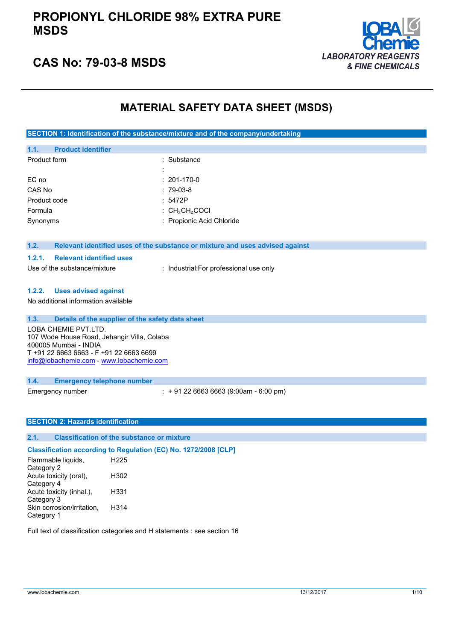

## **CAS No: 79-03-8 MSDS**

## **MATERIAL SAFETY DATA SHEET (MSDS)**

**SECTION 1: Identification of the substance/mixture and of the company/undertaking**

| <b>Product identifier</b><br>1.1.         |                                                                               |
|-------------------------------------------|-------------------------------------------------------------------------------|
| Product form                              | : Substance                                                                   |
|                                           |                                                                               |
| EC no                                     | $: 201 - 170 - 0$                                                             |
| CAS No                                    | $: 79-03-8$                                                                   |
| Product code                              | : 5472P                                                                       |
| Formula                                   | : $CH3CH2COCl$                                                                |
| Synonyms                                  | : Propionic Acid Chloride                                                     |
|                                           |                                                                               |
| 1.2.                                      |                                                                               |
|                                           | Relevant identified uses of the substance or mixture and uses advised against |
| <b>Relevant identified uses</b><br>1.2.1. |                                                                               |
| Use of the substance/mixture              | : Industrial; For professional use only                                       |

#### **1.2.2. Uses advised against**

No additional information available

| 1.3.<br>Details of the supplier of the safety data sheet<br>LOBA CHEMIE PVT.LTD.<br>107 Wode House Road, Jehangir Villa, Colaba<br>400005 Mumbai - INDIA<br>T +91 22 6663 6663 - F +91 22 6663 6699<br>info@lobachemie.com - www.lobachemie.com |                                             |
|-------------------------------------------------------------------------------------------------------------------------------------------------------------------------------------------------------------------------------------------------|---------------------------------------------|
| 1.4.<br><b>Emergency telephone number</b>                                                                                                                                                                                                       |                                             |
| Emergency number                                                                                                                                                                                                                                | $\div$ + 91 22 6663 6663 (9:00am - 6:00 pm) |

#### **SECTION 2: Hazards identification**

### **2.1. Classification of the substance or mixture**

**Classification according to Regulation (EC) No. 1272/2008 [CLP]** Flammable liquids, Category 2 H225 Acute toxicity (oral), Category 4 H302 Acute toxicity (inhal.), Category 3 H331 Skin corrosion/irritation, Category 1 H314

Full text of classification categories and H statements : see section 16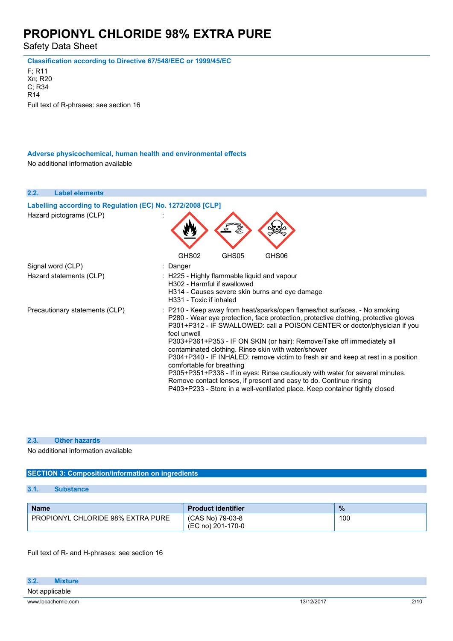Safety Data Sheet

**Classification according to Directive 67/548/EEC or 1999/45/EC**

F; R11 Xn; R20 C; R34 R14 Full text of R-phrases: see section 16

**Adverse physicochemical, human health and environmental effects** No additional information available

**2.2. Label elements Labelling according to Regulation** (EC) **No. 1272/2008** [CLP] Hazard pictograms (CLP) : GHS02 GHS05 GHS06 Signal word (CLP) : Danger Hazard statements (CLP) : H225 - Highly flammable liquid and vapour H302 - Harmful if swallowed H314 - Causes severe skin burns and eye damage H331 - Toxic if inhaled Precautionary statements (CLP) : P210 - Keep away from heat/sparks/open flames/hot surfaces. - No smoking P280 - Wear eye protection, face protection, protective clothing, protective gloves P301+P312 - IF SWALLOWED: call a POISON CENTER or doctor/physician if you feel unwell P303+P361+P353 - IF ON SKIN (or hair): Remove/Take off immediately all contaminated clothing. Rinse skin with water/shower P304+P340 - IF INHALED: remove victim to fresh air and keep at rest in a position comfortable for breathing P305+P351+P338 - If in eyes: Rinse cautiously with water for several minutes. Remove contact lenses, if present and easy to do. Continue rinsing P403+P233 - Store in a well-ventilated place. Keep container tightly closed

#### **2.3. Other hazards**

No additional information available

#### **SECTION 3: Composition/information on ingredients**

**3.1. Substance**

| <b>Name</b>                              | <b>Product identifier</b>             | $\frac{9}{6}$ |
|------------------------------------------|---------------------------------------|---------------|
| <b>PROPIONYL CHLORIDE 98% EXTRA PURE</b> | (CAS No) 79-03-8<br>(EC no) 201-170-0 | 100           |

Full text of R- and H-phrases: see section 16

| 3.2.               | Mixture |            |      |
|--------------------|---------|------------|------|
| Not applicable     |         |            |      |
| www.lobachemie.com |         | 13/12/2017 | 2/10 |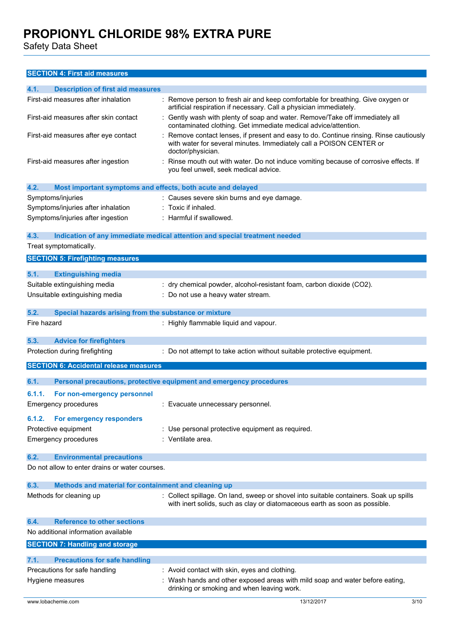Safety Data Sheet

### **SECTION 4: First aid measures**

| 4.1.<br><b>Description of first aid measures</b>                    |                                                                                                                                                                                  |  |
|---------------------------------------------------------------------|----------------------------------------------------------------------------------------------------------------------------------------------------------------------------------|--|
| First-aid measures after inhalation                                 | : Remove person to fresh air and keep comfortable for breathing. Give oxygen or<br>artificial respiration if necessary. Call a physician immediately.                            |  |
| First-aid measures after skin contact                               | : Gently wash with plenty of soap and water. Remove/Take off immediately all<br>contaminated clothing. Get immediate medical advice/attention.                                   |  |
| First-aid measures after eye contact                                | Remove contact lenses, if present and easy to do. Continue rinsing. Rinse cautiously<br>with water for several minutes. Immediately call a POISON CENTER or<br>doctor/physician. |  |
| First-aid measures after ingestion                                  | Rinse mouth out with water. Do not induce vomiting because of corrosive effects. If<br>you feel unwell, seek medical advice.                                                     |  |
| 4.2.<br>Most important symptoms and effects, both acute and delayed |                                                                                                                                                                                  |  |
| Symptoms/injuries                                                   | : Causes severe skin burns and eye damage.                                                                                                                                       |  |
| Symptoms/injuries after inhalation                                  | : Toxic if inhaled.                                                                                                                                                              |  |
| Symptoms/injuries after ingestion                                   | : Harmful if swallowed.                                                                                                                                                          |  |
| 4.3.                                                                | Indication of any immediate medical attention and special treatment needed                                                                                                       |  |
| Treat symptomatically.                                              |                                                                                                                                                                                  |  |
| <b>SECTION 5: Firefighting measures</b>                             |                                                                                                                                                                                  |  |
| 5.1.<br><b>Extinguishing media</b>                                  |                                                                                                                                                                                  |  |
| Suitable extinguishing media                                        | : dry chemical powder, alcohol-resistant foam, carbon dioxide (CO2).                                                                                                             |  |
| Unsuitable extinguishing media                                      | : Do not use a heavy water stream.                                                                                                                                               |  |
| 5.2.<br>Special hazards arising from the substance or mixture       |                                                                                                                                                                                  |  |
| Fire hazard                                                         | : Highly flammable liquid and vapour.                                                                                                                                            |  |
|                                                                     |                                                                                                                                                                                  |  |
| 5.3.<br><b>Advice for firefighters</b>                              |                                                                                                                                                                                  |  |
|                                                                     |                                                                                                                                                                                  |  |
| Protection during firefighting                                      | : Do not attempt to take action without suitable protective equipment.                                                                                                           |  |
| <b>SECTION 6: Accidental release measures</b>                       |                                                                                                                                                                                  |  |
| 6.1.                                                                | Personal precautions, protective equipment and emergency procedures                                                                                                              |  |
| 6.1.1.                                                              |                                                                                                                                                                                  |  |
| For non-emergency personnel<br><b>Emergency procedures</b>          | : Evacuate unnecessary personnel.                                                                                                                                                |  |
|                                                                     |                                                                                                                                                                                  |  |
| 6.1.2.<br>For emergency responders                                  |                                                                                                                                                                                  |  |
| Protective equipment                                                | : Use personal protective equipment as required.                                                                                                                                 |  |
| <b>Emergency procedures</b>                                         | : Ventilate area.                                                                                                                                                                |  |
| 6.2.<br><b>Environmental precautions</b>                            |                                                                                                                                                                                  |  |
| Do not allow to enter drains or water courses.                      |                                                                                                                                                                                  |  |
| 6.3.<br>Methods and material for containment and cleaning up        |                                                                                                                                                                                  |  |
| Methods for cleaning up                                             | : Collect spillage. On land, sweep or shovel into suitable containers. Soak up spills<br>with inert solids, such as clay or diatomaceous earth as soon as possible.              |  |
| <b>Reference to other sections</b><br>6.4.                          |                                                                                                                                                                                  |  |
| No additional information available                                 |                                                                                                                                                                                  |  |
| <b>SECTION 7: Handling and storage</b>                              |                                                                                                                                                                                  |  |
| 7.1.<br><b>Precautions for safe handling</b>                        |                                                                                                                                                                                  |  |
| Precautions for safe handling                                       | : Avoid contact with skin, eyes and clothing.                                                                                                                                    |  |
| Hygiene measures                                                    | : Wash hands and other exposed areas with mild soap and water before eating,<br>drinking or smoking and when leaving work.                                                       |  |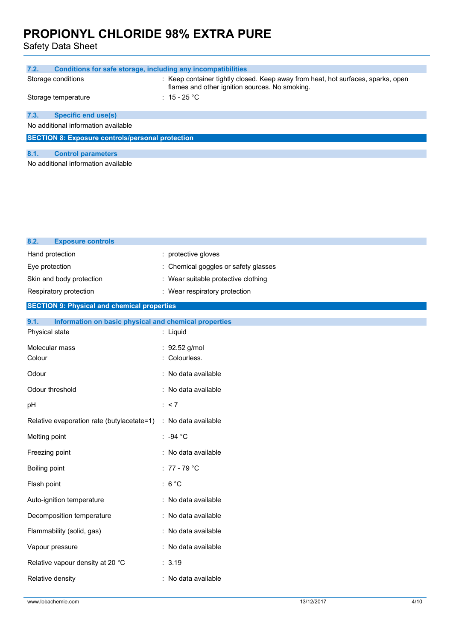Safety Data Sheet

| 7.2.<br>Conditions for safe storage, including any incompatibilities |                                                                                                                                    |  |  |
|----------------------------------------------------------------------|------------------------------------------------------------------------------------------------------------------------------------|--|--|
| Storage conditions                                                   | : Keep container tightly closed. Keep away from heat, hot surfaces, sparks, open<br>flames and other ignition sources. No smoking. |  |  |
| Storage temperature                                                  | : 15 - 25 $^{\circ}$ C                                                                                                             |  |  |
|                                                                      |                                                                                                                                    |  |  |
| 7.3.<br><b>Specific end use(s)</b>                                   |                                                                                                                                    |  |  |
| No additional information available                                  |                                                                                                                                    |  |  |
|                                                                      |                                                                                                                                    |  |  |
| <b>SECTION 8: Exposure controls/personal protection</b>              |                                                                                                                                    |  |  |
|                                                                      |                                                                                                                                    |  |  |
| 8.1.<br><b>Control parameters</b>                                    |                                                                                                                                    |  |  |
| No additional information available                                  |                                                                                                                                    |  |  |

| 8.2.<br><b>Exposure controls</b>                              |                                    |
|---------------------------------------------------------------|------------------------------------|
| Hand protection                                               | : protective gloves                |
| Eye protection                                                | Chemical goggles or safety glasses |
| Skin and body protection                                      | Wear suitable protective clothing  |
| Respiratory protection                                        | : Wear respiratory protection      |
| <b>SECTION 9: Physical and chemical properties</b>            |                                    |
| 9.1.<br>Information on basic physical and chemical properties |                                    |
| Physical state                                                | : Liquid                           |
| Molecular mass                                                | : 92.52 g/mol                      |
| Colour                                                        | Colourless.                        |
| Odour                                                         | : No data available                |
| Odour threshold                                               | : No data available                |
| pH                                                            | : < 7                              |
| Relative evaporation rate (butylacetate=1)                    | : No data available                |
| Melting point                                                 | : -94 $^{\circ}$ C                 |
| Freezing point                                                | : No data available                |
| Boiling point                                                 | $: 77 - 79$ °C                     |
| Flash point                                                   | : $6^{\circ}$ C                    |
| Auto-ignition temperature                                     | : No data available                |
| Decomposition temperature                                     | : No data available                |
| Flammability (solid, gas)                                     | : No data available                |
| Vapour pressure                                               | No data available                  |
| Relative vapour density at 20 °C                              | : 3.19                             |
| Relative density                                              | : No data available                |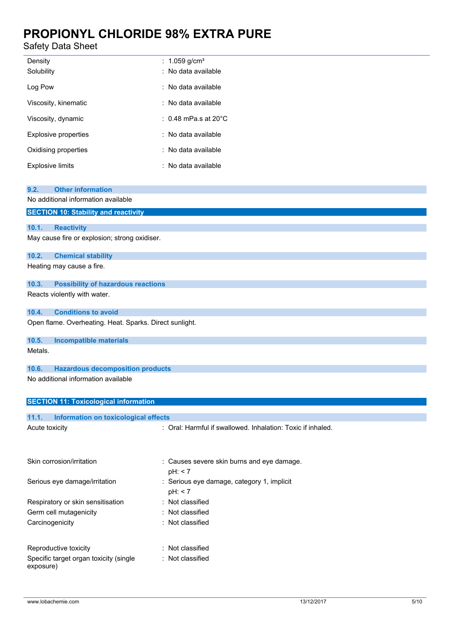## Safety Data Sheet

| Density<br>Solubility       | : $1.059$ g/cm <sup>3</sup><br>: No data available |
|-----------------------------|----------------------------------------------------|
| Log Pow                     | : No data available                                |
| Viscosity, kinematic        | : No data available                                |
| Viscosity, dynamic          | : 0.48 mPa.s at 20 $^{\circ}$ C                    |
| <b>Explosive properties</b> | : No data available                                |
| Oxidising properties        | : No data available                                |
| <b>Explosive limits</b>     | : No data available                                |

| <b>Other information</b><br>9.2.                        |                                                             |
|---------------------------------------------------------|-------------------------------------------------------------|
| No additional information available                     |                                                             |
| <b>SECTION 10: Stability and reactivity</b>             |                                                             |
| 10.1.<br><b>Reactivity</b>                              |                                                             |
| May cause fire or explosion; strong oxidiser.           |                                                             |
|                                                         |                                                             |
| 10.2.<br><b>Chemical stability</b>                      |                                                             |
| Heating may cause a fire.                               |                                                             |
| 10.3.<br><b>Possibility of hazardous reactions</b>      |                                                             |
| Reacts violently with water.                            |                                                             |
| <b>Conditions to avoid</b><br>10.4.                     |                                                             |
| Open flame. Overheating. Heat. Sparks. Direct sunlight. |                                                             |
| 10.5.<br><b>Incompatible materials</b>                  |                                                             |
| Metals.                                                 |                                                             |
|                                                         |                                                             |
| <b>Hazardous decomposition products</b><br>10.6.        |                                                             |
| No additional information available                     |                                                             |
|                                                         |                                                             |
| <b>SECTION 11: Toxicological information</b>            |                                                             |
| 11.1.<br><b>Information on toxicological effects</b>    |                                                             |
| Acute toxicity                                          | : Oral: Harmful if swallowed. Inhalation: Toxic if inhaled. |
|                                                         |                                                             |
|                                                         |                                                             |
| Skin corrosion/irritation                               | : Causes severe skin burns and eye damage.                  |
|                                                         | pH: < 7                                                     |
| Serious eye damage/irritation                           | : Serious eye damage, category 1, implicit                  |
|                                                         | pH: < 7                                                     |
| Respiratory or skin sensitisation                       | : Not classified                                            |
| Germ cell mutagenicity                                  | Not classified                                              |
| Carcinogenicity                                         | Not classified                                              |

| Reproductive toxicity                  | : Not classified |
|----------------------------------------|------------------|
| Specific target organ toxicity (single | : Not classified |
| exposure)                              |                  |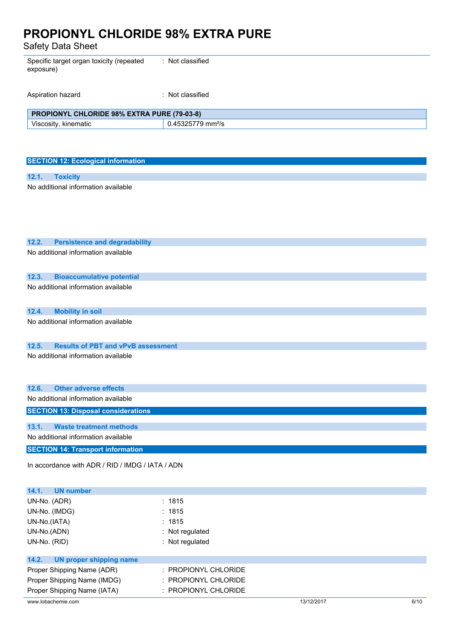Safety Data Sheet

| Specific target organ toxicity (repeated<br>exposure) | : Not classified              |  |
|-------------------------------------------------------|-------------------------------|--|
| Aspiration hazard                                     | : Not classified              |  |
| PROPIONYL CHLORIDE 98% EXTRA PURE (79-03-8)           |                               |  |
| Viscosity, kinematic                                  | 0.45325779 mm <sup>2</sup> /s |  |
|                                                       |                               |  |

| <b>SECTION 12: Ecological information</b> |                                     |  |  |
|-------------------------------------------|-------------------------------------|--|--|
|                                           |                                     |  |  |
| 12.1.                                     | <b>Toxicity</b>                     |  |  |
|                                           | No additional information available |  |  |
|                                           |                                     |  |  |
|                                           |                                     |  |  |
|                                           |                                     |  |  |
|                                           |                                     |  |  |

| 12.2.<br><b>Persistence and degradability</b>      |
|----------------------------------------------------|
| No additional information available                |
| 12.3.<br><b>Bioaccumulative potential</b>          |
| No additional information available                |
| <b>Mobility in soil</b><br>12.4.                   |
| No additional information available                |
| <b>Results of PBT and vPvB assessment</b><br>12.5. |
| No additional information available                |
| <b>Other adverse effects</b><br>12.6.              |
| No additional information available                |
| <b>SECTION 13: Disposal considerations</b>         |
| <b>Waste treatment methods</b><br>13.1.            |
| No additional information available                |
| <b>SECTION 14: Transport information</b>           |
| In accordance with ADR / RID / IMDG / IATA / ADN   |

| <b>UN</b> number<br>14.1.        |                                 |            |      |
|----------------------------------|---------------------------------|------------|------|
| UN-No. (ADR)                     | : 1815                          |            |      |
| UN-No. (IMDG)                    | : 1815                          |            |      |
| UN-No.(IATA)                     | : 1815                          |            |      |
| UN-No.(ADN)                      | $:$ Not regulated               |            |      |
| UN-No. (RID)                     | : Not regulated                 |            |      |
|                                  |                                 |            |      |
| 14.2.<br>UN proper shipping name |                                 |            |      |
| Proper Shipping Name (ADR)       | $:$ PROPIONYL CHLORIDE          |            |      |
| Proper Shipping Name (IMDG)      | $\therefore$ PROPIONYL CHLORIDE |            |      |
| Proper Shipping Name (IATA)      | $:$ PROPIONYL CHLORIDE          |            |      |
| www.lobachemie.com               |                                 | 13/12/2017 | 6/10 |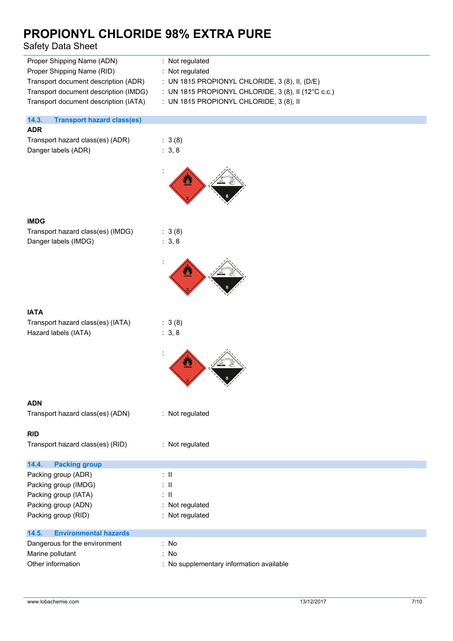## Safety Data Sheet

| Proper Shipping Name (ADN)            | : Not regulated                                       |
|---------------------------------------|-------------------------------------------------------|
| Proper Shipping Name (RID)            | $:$ Not requiated                                     |
| Transport document description (ADR)  | : UN 1815 PROPIONYL CHLORIDE, $3(8)$ , II, $(D/E)$    |
| Transport document description (IMDG) | : UN 1815 PROPIONYL CHLORIDE, $3(8)$ , II (12°C c.c.) |
| Transport document description (IATA) | : UN 1815 PROPIONYL CHLORIDE, $3(8)$ , II             |
|                                       |                                                       |
|                                       |                                                       |

### **14.3. Transport hazard class(es)**

### **ADR**

| Transport hazard class(es) (ADR) | :3(8  |
|----------------------------------|-------|
| Danger labels (ADR)              | : 3.8 |

| : 3(8) |
|--------|
| : 3, 8 |

 $: 3 (8)$  $: 3, 8$ 



| Transport hazard class(es) (IMDG) |  |
|-----------------------------------|--|
| Danger labels (IMDG)              |  |



| <b>IATA</b>                       |                 |  |
|-----------------------------------|-----------------|--|
| Transport hazard class(es) (IATA) | : 3(8)          |  |
| Hazard labels (IATA)              | : $3, 8$        |  |
|                                   |                 |  |
| <b>ADN</b>                        |                 |  |
| Transport hazard class(es) (ADN)  | : Not regulated |  |
| <b>RID</b>                        |                 |  |
| Transport hazard class(es) (RID)  | : Not regulated |  |
| 14.4. Packing group               |                 |  |
| Packing group (ADR)               | : II            |  |
| Packing group (IMDG)              | : II            |  |
| Packing group (IATA)              | ÷Ш              |  |
| Packing group (ADN)               | : Not regulated |  |
| Packing group (RID)               | Not regulated   |  |

| 14.5.<br><b>Environmental hazards</b> |                                          |
|---------------------------------------|------------------------------------------|
| Dangerous for the environment         | : No                                     |
|                                       |                                          |
| Marine pollutant                      | : No                                     |
| Other information                     | : No supplementary information available |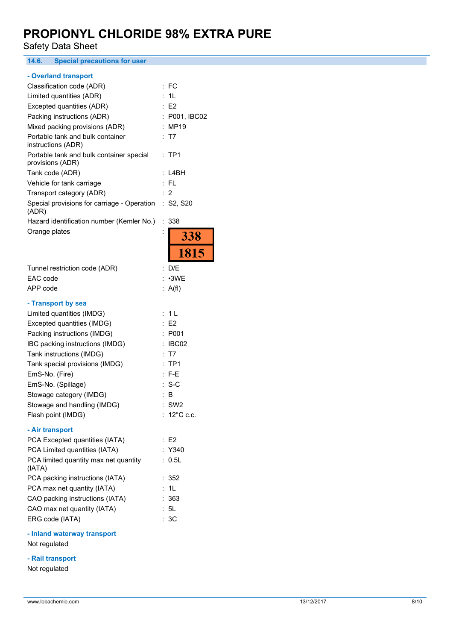Safety Data Sheet

**14.6. Special precautions for user**

### **- Overland transport**

| Classification code (ADR)                                    | FC                                |
|--------------------------------------------------------------|-----------------------------------|
| Limited quantities (ADR)                                     | 1L                                |
| Excepted quantities (ADR)                                    | E2                                |
| Packing instructions (ADR)                                   | P001, IBC02                       |
| Mixed packing provisions (ADR)                               | <b>MP19</b>                       |
| Portable tank and bulk container<br>instructions (ADR)       | T7                                |
| Portable tank and bulk container special<br>provisions (ADR) | TP <sub>1</sub><br>$\ddot{\cdot}$ |
| Tank code (ADR)                                              | L4BH                              |
| Vehicle for tank carriage                                    | $:$ FL                            |
| Transport category (ADR)                                     | $\overline{2}$                    |
| Special provisions for carriage - Operation<br>(ADR)         | S2, S20<br>t.                     |
| Hazard identification number (Kemler No.)                    | 338<br>÷.                         |
| Orange plates                                                | $\ddot{\cdot}$<br><b>338</b>      |
|                                                              | 1815                              |
| Tunnel restriction code (ADR)                                | : D/E                             |
| EAC code                                                     | : •3WE                            |
| APP code                                                     | : $A(f)$                          |
| - Transport by sea                                           |                                   |
| Limited quantities (IMDG)                                    | : 1 L                             |
| Excepted quantities (IMDG)                                   | E <sub>2</sub>                    |
| Packing instructions (IMDG)                                  | P001                              |
| IBC packing instructions (IMDG)                              | IBC02                             |
| Tank instructions (IMDG)                                     | T7                                |
| Tank special provisions (IMDG)                               | TP <sub>1</sub>                   |
| EmS-No. (Fire)                                               | $F-E$                             |
| EmS-No. (Spillage)                                           | $S-C$                             |
| Stowage category (IMDG)                                      | B                                 |
| Stowage and handling (IMDG)                                  | SW <sub>2</sub>                   |
| Flash point (IMDG)                                           | 12°C c.c.                         |
| - Air transport                                              |                                   |
| PCA Excepted quantities (IATA)                               | E <sub>2</sub>                    |
| PCA Limited quantities (IATA)                                | Y340                              |
| PCA limited quantity max net quantity                        | 0.5L                              |

| PCA limited quantity max net quantity<br>(IATA) | : 0.5I |
|-------------------------------------------------|--------|
| PCA packing instructions (IATA)                 | : 352  |
| PCA max net quantity (IATA)                     | : 1L   |
| CAO packing instructions (IATA)                 | : 363  |
| CAO max net quantity (IATA)                     | : 5L   |
| ERG code (IATA)                                 | : 3C   |

### **- Inland waterway transport**

Not regulated

### **- Rail transport**

Not regulated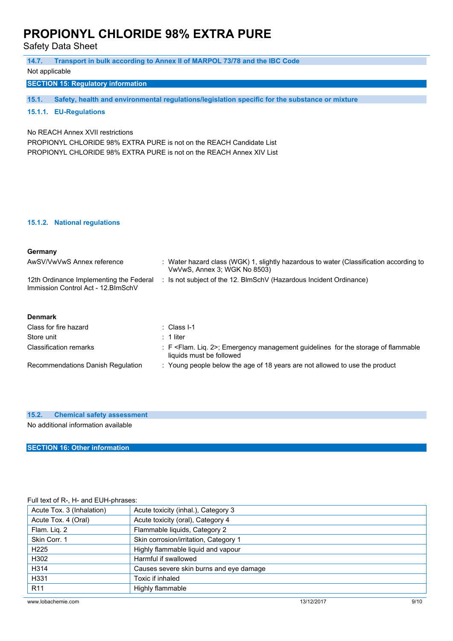Safety Data Sheet

| 14.7.<br>Not applicable                                                                                                                                                          | Transport in bulk according to Annex II of MARPOL 73/78 and the IBC Code                                                    |  |
|----------------------------------------------------------------------------------------------------------------------------------------------------------------------------------|-----------------------------------------------------------------------------------------------------------------------------|--|
| <b>SECTION 15: Regulatory information</b>                                                                                                                                        |                                                                                                                             |  |
|                                                                                                                                                                                  |                                                                                                                             |  |
| 15.1.                                                                                                                                                                            | Safety, health and environmental regulations/legislation specific for the substance or mixture                              |  |
| 15.1.1. EU-Regulations                                                                                                                                                           |                                                                                                                             |  |
| No REACH Annex XVII restrictions<br>PROPIONYL CHLORIDE 98% EXTRA PURE is not on the REACH Candidate List<br>PROPIONYL CHLORIDE 98% EXTRA PURE is not on the REACH Annex XIV List |                                                                                                                             |  |
|                                                                                                                                                                                  |                                                                                                                             |  |
| 15.1.2. National regulations                                                                                                                                                     |                                                                                                                             |  |
| Germany                                                                                                                                                                          |                                                                                                                             |  |
| AwSV/VwVwS Annex reference                                                                                                                                                       | : Water hazard class (WGK) 1, slightly hazardous to water (Classification according to<br>VwVwS, Annex 3; WGK No 8503)      |  |
| 12th Ordinance Implementing the Federal<br>Immission Control Act - 12. BlmSchV                                                                                                   | : Is not subject of the 12. BlmSchV (Hazardous Incident Ordinance)                                                          |  |
| <b>Denmark</b>                                                                                                                                                                   |                                                                                                                             |  |
| Class for fire hazard                                                                                                                                                            | $\therefore$ Class I-1                                                                                                      |  |
| Store unit                                                                                                                                                                       | $: 1$ liter                                                                                                                 |  |
| <b>Classification remarks</b>                                                                                                                                                    | : F <flam. 2="" lig.="">; Emergency management guidelines for the storage of flammable<br/>liquids must be followed</flam.> |  |
| Recommendations Danish Regulation                                                                                                                                                | : Young people below the age of 18 years are not allowed to use the product                                                 |  |

### **15.2. Chemical safety assessment**

No additional information available

### **SECTION 16: Other information**

### Full text of R-, H- and EUH-phrases:

| Acute Tox. 3 (Inhalation) | Acute toxicity (inhal.), Category 3     |            |      |
|---------------------------|-----------------------------------------|------------|------|
| Acute Tox. 4 (Oral)       | Acute toxicity (oral), Category 4       |            |      |
| Flam. Lig. 2              | Flammable liquids, Category 2           |            |      |
| Skin Corr. 1              | Skin corrosion/irritation, Category 1   |            |      |
| H <sub>225</sub>          | Highly flammable liquid and vapour      |            |      |
| H302                      | Harmful if swallowed                    |            |      |
| H314                      | Causes severe skin burns and eye damage |            |      |
| H331                      | Toxic if inhaled                        |            |      |
| R <sub>11</sub>           | Highly flammable                        |            |      |
| www.lobachemie.com        |                                         | 13/12/2017 | 9/10 |